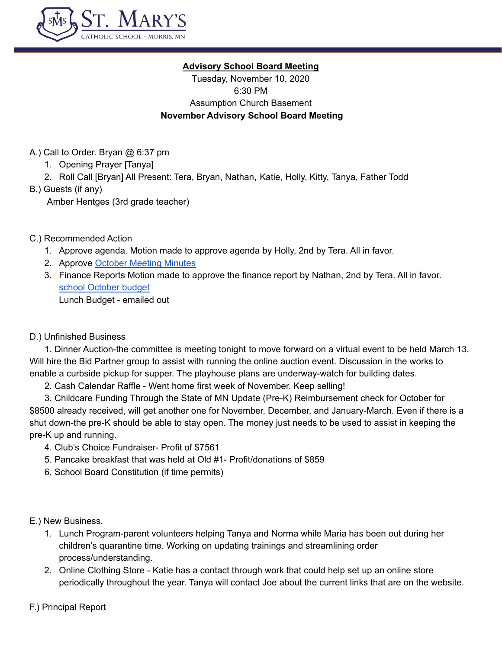

## **Advisory School Board Meeting**

Tuesday, November 10, 2020 6:30 PM Assumption Church Basement **November Advisory School Board Meeting**

A.) Call to Order. Bryan @ 6:37 pm

- 1. Opening Prayer [Tanya]
- 2. Roll Call [Bryan] All Present: Tera, Bryan, Nathan, Katie, Holly, Kitty, Tanya, Father Todd
- B.) Guests (if any)

Amber Hentges (3rd grade teacher)

## C.) Recommended Action

- 1. Approve agenda. Motion made to approve agenda by Holly, 2nd by Tera. All in favor.
- 2. Approve October [Meeting](https://docs.google.com/document/d/16v9PwPdyFSMHwpx3Ky-emHVkPZBMB0bLcH9LlXtndS0/edit) Minutes
- 3. Finance Reports Motion made to approve the finance report by Nathan, 2nd by Tera. All in favor. school [October](https://docs.google.com/spreadsheets/u/0/d/1Qru7_Y1mUKnoe7RNlEzgHgmeJnohTCS1cy32zFx0Thg/edit) budget Lunch Budget - emailed out

## D.) Unfinished Business

1. Dinner Auction-the committee is meeting tonight to move forward on a virtual event to be held March 13. Will hire the Bid Partner group to assist with running the online auction event. Discussion in the works to enable a curbside pickup for supper. The playhouse plans are underway-watch for building dates.

2. Cash Calendar Raffle - Went home first week of November. Keep selling!

3. Childcare Funding Through the State of MN Update (Pre-K) Reimbursement check for October for \$8500 already received, will get another one for November, December, and January-March. Even if there is a shut down-the pre-K should be able to stay open. The money just needs to be used to assist in keeping the pre-K up and running.

- 4. Club's Choice Fundraiser- Profit of \$7561
- 5. Pancake breakfast that was held at Old #1- Profit/donations of \$859
- 6. School Board Constitution (if time permits)

E.) New Business.

- 1. Lunch Program-parent volunteers helping Tanya and Norma while Maria has been out during her children's quarantine time. Working on updating trainings and streamlining order process/understanding.
- 2. Online Clothing Store Katie has a contact through work that could help set up an online store periodically throughout the year. Tanya will contact Joe about the current links that are on the website.